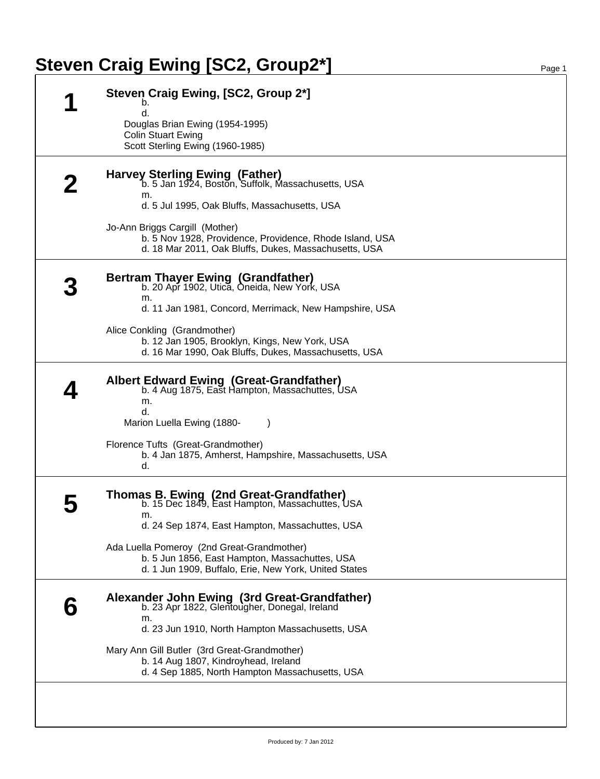## **Steven Craig Ewing [SC2, Group2\*]** Page 1

| d.<br>Douglas Brian Ewing (1954-1995)<br><b>Colin Stuart Ewing</b><br>Scott Sterling Ewing (1960-1985)                                              |
|-----------------------------------------------------------------------------------------------------------------------------------------------------|
|                                                                                                                                                     |
|                                                                                                                                                     |
|                                                                                                                                                     |
| Harvey Sterling Ewing (Father)<br>b. 5 Jan 1924, Boston, Suffolk, Massachusetts, USA                                                                |
| m.<br>d. 5 Jul 1995, Oak Bluffs, Massachusetts, USA                                                                                                 |
| Jo-Ann Briggs Cargill (Mother)<br>b. 5 Nov 1928, Providence, Providence, Rhode Island, USA<br>d. 18 Mar 2011, Oak Bluffs, Dukes, Massachusetts, USA |
| Bertram Thayer Ewing (Grandfather)<br>b. 20 Apr 1902, Utica, Oneida, New York, USA<br>m.                                                            |
| d. 11 Jan 1981, Concord, Merrimack, New Hampshire, USA                                                                                              |
| Alice Conkling (Grandmother)                                                                                                                        |
| b. 12 Jan 1905, Brooklyn, Kings, New York, USA<br>d. 16 Mar 1990, Oak Bluffs, Dukes, Massachusetts, USA                                             |
| Albert Edward Ewing (Great-Grandfather)<br>b. 4 Aug 1875, East Hampton, Massachuttes, USA<br>m.<br>d.                                               |
| Marion Luella Ewing (1880-                                                                                                                          |
| Florence Tufts (Great-Grandmother)<br>b. 4 Jan 1875, Amherst, Hampshire, Massachusetts, USA<br>d.                                                   |
| <b>Thomas B. Ewing (2nd Great-Grandfather)</b><br>b. 15 Dec 1849, East Hampton, Massachuttes, USA                                                   |
| m.<br>d. 24 Sep 1874, East Hampton, Massachuttes, USA                                                                                               |
| Ada Luella Pomeroy (2nd Great-Grandmother)                                                                                                          |
| b. 5 Jun 1856, East Hampton, Massachuttes, USA<br>d. 1 Jun 1909, Buffalo, Erie, New York, United States                                             |
| Alexander John Ewing (3rd Great-Grandfather)<br>b. 23 Apr 1822, Glentougher, Donegal, Ireland<br>m.                                                 |
| d. 23 Jun 1910, North Hampton Massachusetts, USA                                                                                                    |
| Mary Ann Gill Butler (3rd Great-Grandmother)<br>b. 14 Aug 1807, Kindroyhead, Ireland<br>d. 4 Sep 1885, North Hampton Massachusetts, USA             |
|                                                                                                                                                     |